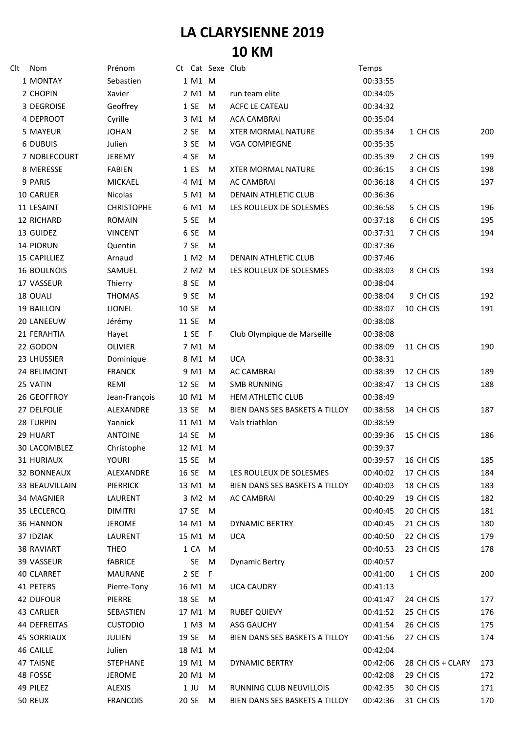## **LA CLARYSIENNE 2019 10 KM**

| Clt | Nom                   | Prénom            |         | Ct Cat Sexe Club |                                | Temps                |                   |     |
|-----|-----------------------|-------------------|---------|------------------|--------------------------------|----------------------|-------------------|-----|
|     | 1 MONTAY              | Sebastien         | 1 M1 M  |                  |                                | 00:33:55             |                   |     |
|     | 2 CHOPIN              | Xavier            | 2 M1 M  |                  | run team elite                 | 00:34:05             |                   |     |
|     | 3 DEGROISE            | Geoffrey          | 1SE     | M                | <b>ACFC LE CATEAU</b>          | 00:34:32             |                   |     |
|     | 4 DEPROOT             | Cyrille           | 3 M1 M  |                  | <b>ACA CAMBRAI</b>             | 00:35:04             |                   |     |
|     | 5 MAYEUR              | <b>JOHAN</b>      | 2 SE    | M                | <b>XTER MORMAL NATURE</b>      | 00:35:34             | 1 CH CIS          | 200 |
|     | 6 DUBUIS              | Julien            | 3 SE    | M                | <b>VGA COMPIEGNE</b>           | 00:35:35             |                   |     |
|     | 7 NOBLECOURT          | <b>JEREMY</b>     | 4 SE    | M                |                                | 00:35:39             | 2 CH CIS          | 199 |
|     | 8 MERESSE             | <b>FABIEN</b>     | 1 ES    | M                | <b>XTER MORMAL NATURE</b>      | 00:36:15             | 3 CH CIS          | 198 |
|     | 9 PARIS               | <b>MICKAEL</b>    | 4 M1 M  |                  | <b>AC CAMBRAI</b>              | 00:36:18             | 4 CH CIS          | 197 |
|     | 10 CARLIER            | Nicolas           | 5 M1 M  |                  | DENAIN ATHLETIC CLUB           | 00:36:36             |                   |     |
|     | 11 LESAINT            | <b>CHRISTOPHE</b> | 6 M1 M  |                  | LES ROULEUX DE SOLESMES        | 00:36:58             | 5 CH CIS          | 196 |
|     | 12 RICHARD            | <b>ROMAIN</b>     | 5 SE    | M                |                                | 00:37:18             | 6 CH CIS          | 195 |
|     | 13 GUIDEZ             | <b>VINCENT</b>    | 6 SE    | M                |                                | 00:37:31             | 7 CH CIS          | 194 |
|     | 14 PIORUN             | Quentin           | 7 SE    | M                |                                | 00:37:36             |                   |     |
|     | 15 CAPILLIEZ          | Arnaud            | 1 M2    | M                | DENAIN ATHLETIC CLUB           | 00:37:46             |                   |     |
|     | <b>16 BOULNOIS</b>    | SAMUEL            | 2 M2 M  |                  | LES ROULEUX DE SOLESMES        | 00:38:03             | 8 CH CIS          | 193 |
|     | 17 VASSEUR            | Thierry           | 8 SE    | M                |                                | 00:38:04             |                   |     |
|     | 18 OUALI              | <b>THOMAS</b>     | 9 SE    | M                |                                | 00:38:04             | 9 CH CIS          | 192 |
|     | 19 BAILLON            | LIONEL            | 10 SE   | M                |                                | 00:38:07             | 10 CH CIS         | 191 |
|     | 20 LANEEUW            | Jérémy            | 11 SE   | M                |                                | 00:38:08             |                   |     |
|     | 21 FERAHTIA           | Hayet             | 1SE     | - F              | Club Olympique de Marseille    | 00:38:08             |                   |     |
|     | 22 GODON              | <b>OLIVIER</b>    | 7 M1 M  |                  |                                | 00:38:09             | 11 CH CIS         | 190 |
|     | 23 LHUSSIER           | Dominique         | 8 M1 M  |                  | <b>UCA</b>                     | 00:38:31             |                   |     |
|     | 24 BELIMONT           | <b>FRANCK</b>     | 9 M1 M  |                  | <b>AC CAMBRAI</b>              | 00:38:39             | 12 CH CIS         | 189 |
|     | 25 VATIN              | REMI              | 12 SE   | M                | <b>SMB RUNNING</b>             | 00:38:47             | 13 CH CIS         | 188 |
|     | 26 GEOFFROY           | Jean-François     | 10 M1 M |                  | <b>HEM ATHLETIC CLUB</b>       | 00:38:49             |                   |     |
|     | 27 DELFOLIE           | ALEXANDRE         | 13 SE   | M                | BIEN DANS SES BASKETS A TILLOY | 00:38:58             | 14 CH CIS         | 187 |
|     |                       | Yannick           | 11 M1 M |                  | Vals triathlon                 |                      |                   |     |
|     | 28 TURPIN<br>29 HUART | <b>ANTOINE</b>    | 14 SE   | M                |                                | 00:38:59<br>00:39:36 | 15 CH CIS         | 186 |
|     | 30 LACOMBLEZ          |                   |         |                  |                                | 00:39:37             |                   |     |
|     |                       | Christophe        | 12 M1 M |                  |                                |                      |                   |     |
|     | 31 HURIAUX            | <b>YOURI</b>      | 15 SE   | M                |                                | 00:39:57             | 16 CH CIS         | 185 |
|     | 32 BONNEAUX           | ALEXANDRE         | 16 SE   | M                | LES ROULEUX DE SOLESMES        | 00:40:02             | 17 CH CIS         | 184 |
|     | 33 BEAUVILLAIN        | <b>PIERRICK</b>   | 13 M1 M |                  | BIEN DANS SES BASKETS A TILLOY | 00:40:03             | 18 CH CIS         | 183 |
|     | 34 MAGNIER            | LAURENT           | 3 M2 M  |                  | <b>AC CAMBRAI</b>              | 00:40:29             | 19 CH CIS         | 182 |
|     | 35 LECLERCQ           | <b>DIMITRI</b>    | 17 SE   | M                |                                | 00:40:45             | 20 CH CIS         | 181 |
|     | 36 HANNON             | JEROME            | 14 M1 M |                  | <b>DYNAMIC BERTRY</b>          | 00:40:45             | 21 CH CIS         | 180 |
|     | 37 IDZIAK             | LAURENT           | 15 M1 M |                  | <b>UCA</b>                     | 00:40:50             | 22 CH CIS         | 179 |
|     | 38 RAVIART            | <b>THEO</b>       | 1 CA M  |                  |                                | 00:40:53             | 23 CH CIS         | 178 |
|     | 39 VASSEUR            | <b>fABRICE</b>    | SE      | M                | <b>Dynamic Bertry</b>          | 00:40:57             |                   |     |
|     | 40 CLARRET            | MAURANE           | 2 SE F  |                  |                                | 00:41:00             | 1 CH CIS          | 200 |
|     | 41 PETERS             | Pierre-Tony       | 16 M1 M |                  | <b>UCA CAUDRY</b>              | 00:41:13             |                   |     |
|     | 42 DUFOUR             | PIERRE            | 18 SE   | M                |                                | 00:41:47             | 24 CH CIS         | 177 |
|     | 43 CARLIER            | SEBASTIEN         | 17 M1 M |                  | <b>RUBEF QUIEVY</b>            | 00:41:52             | 25 CH CIS         | 176 |
|     | 44 DEFREITAS          | <b>CUSTODIO</b>   | 1 M3 M  |                  | ASG GAUCHY                     | 00:41:54             | 26 CH CIS         | 175 |
|     | <b>45 SORRIAUX</b>    | JULIEN            | 19 SE   | M                | BIEN DANS SES BASKETS A TILLOY | 00:41:56             | 27 CH CIS         | 174 |
|     | 46 CAILLE             | Julien            | 18 M1 M |                  |                                | 00:42:04             |                   |     |
|     | 47 TAISNE             | <b>STEPHANE</b>   | 19 M1 M |                  | <b>DYNAMIC BERTRY</b>          | 00:42:06             | 28 CH CIS + CLARY | 173 |
|     | 48 FOSSE              | JEROME            | 20 M1 M |                  |                                | 00:42:08             | 29 CH CIS         | 172 |
|     | 49 PILEZ              | ALEXIS            | 1 JU    | M                | RUNNING CLUB NEUVILLOIS        | 00:42:35             | 30 CH CIS         | 171 |
|     | 50 REUX               | <b>FRANCOIS</b>   | 20 SE   | M                | BIEN DANS SES BASKETS A TILLOY | 00:42:36             | 31 CH CIS         | 170 |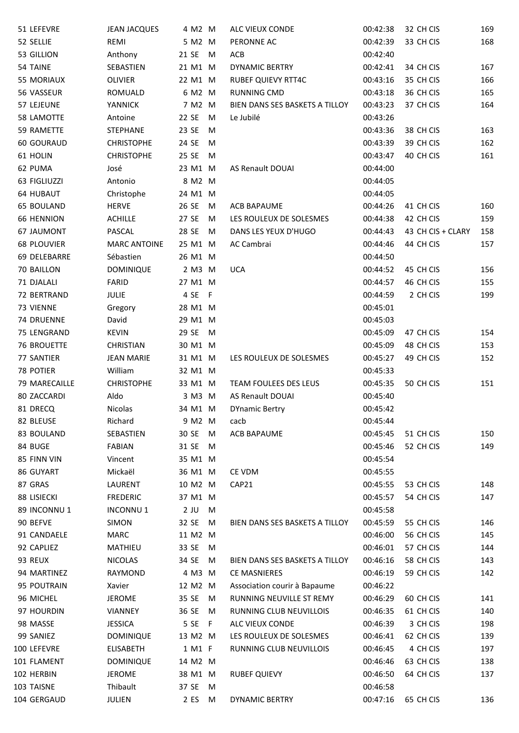| 51 LEFEVRE         | <b>JEAN JACQUES</b> | 4 M2 M               |   | ALC VIEUX CONDE                | 00:42:38 | 32 CH CIS         | 169        |
|--------------------|---------------------|----------------------|---|--------------------------------|----------|-------------------|------------|
| 52 SELLIE          | REMI                | 5 M2 M               |   | PERONNE AC                     | 00:42:39 | 33 CH CIS         | 168        |
| 53 GILLION         | Anthony             | 21 SE M              |   | <b>ACB</b>                     | 00:42:40 |                   |            |
| 54 TAINE           | SEBASTIEN           | 21 M1 M              |   | <b>DYNAMIC BERTRY</b>          | 00:42:41 | 34 CH CIS         | 167        |
| 55 MORIAUX         | OLIVIER             | 22 M1 M              |   | <b>RUBEF QUIEVY RTT4C</b>      | 00:43:16 | 35 CH CIS         | 166        |
| 56 VASSEUR         | ROMUALD             | 6 M2 M               |   | <b>RUNNING CMD</b>             | 00:43:18 | 36 CH CIS         | 165        |
| 57 LEJEUNE         | <b>YANNICK</b>      | 7 M2 M               |   | BIEN DANS SES BASKETS A TILLOY | 00:43:23 | 37 CH CIS         | 164        |
| 58 LAMOTTE         | Antoine             | 22 SE                | M | Le Jubilé                      | 00:43:26 |                   |            |
| 59 RAMETTE         | <b>STEPHANE</b>     | 23 SE                | M |                                | 00:43:36 | 38 CH CIS         | 163        |
| 60 GOURAUD         | <b>CHRISTOPHE</b>   | 24 SE                | M |                                | 00:43:39 | 39 CH CIS         | 162        |
| 61 HOLIN           | <b>CHRISTOPHE</b>   | 25 SE                | M |                                | 00:43:47 | 40 CH CIS         | 161        |
| 62 PUMA            | José                | 23 M1 M              |   | <b>AS Renault DOUAI</b>        | 00:44:00 |                   |            |
| 63 FIGLIUZZI       | Antonio             | 8 M2 M               |   |                                | 00:44:05 |                   |            |
| <b>64 HUBAUT</b>   | Christophe          | 24 M1 M              |   |                                | 00:44:05 |                   |            |
|                    |                     |                      |   |                                |          |                   |            |
| <b>65 BOULAND</b>  | <b>HERVE</b>        | 26 SE                | M | <b>ACB BAPAUME</b>             | 00:44:26 | 41 CH CIS         | 160<br>159 |
| <b>66 HENNION</b>  | <b>ACHILLE</b>      | 27 SE                | M | LES ROULEUX DE SOLESMES        | 00:44:38 | 42 CH CIS         |            |
| <b>67 JAUMONT</b>  | PASCAL              | 28 SE                | M | DANS LES YEUX D'HUGO           | 00:44:43 | 43 CH CIS + CLARY | 158        |
| <b>68 PLOUVIER</b> | <b>MARC ANTOINE</b> | 25 M1 M              |   | AC Cambrai                     | 00:44:46 | 44 CH CIS         | 157        |
| 69 DELEBARRE       | Sébastien           | 26 M1 M              |   |                                | 00:44:50 |                   |            |
| 70 BAILLON         | <b>DOMINIQUE</b>    | 2 M3 M               |   | <b>UCA</b>                     | 00:44:52 | 45 CH CIS         | 156        |
| 71 DJALALI         | <b>FARID</b>        | 27 M1 M              |   |                                | 00:44:57 | 46 CH CIS         | 155        |
| 72 BERTRAND        | <b>JULIE</b>        | 4 SE F               |   |                                | 00:44:59 | 2 CH CIS          | 199        |
| 73 VIENNE          | Gregory             | 28 M1 M              |   |                                | 00:45:01 |                   |            |
| <b>74 DRUENNE</b>  | David               | 29 M1 M              |   |                                | 00:45:03 |                   |            |
| 75 LENGRAND        | <b>KEVIN</b>        | 29 SE M              |   |                                | 00:45:09 | 47 CH CIS         | 154        |
| <b>76 BROUETTE</b> | <b>CHRISTIAN</b>    | 30 M1 M              |   |                                | 00:45:09 | 48 CH CIS         | 153        |
| 77 SANTIER         | <b>JEAN MARIE</b>   | 31 M1 M              |   | LES ROULEUX DE SOLESMES        | 00:45:27 | 49 CH CIS         | 152        |
| 78 POTIER          | William             | 32 M1 M              |   |                                | 00:45:33 |                   |            |
| 79 MARECAILLE      | <b>CHRISTOPHE</b>   | 33 M1 M              |   | TEAM FOULEES DES LEUS          | 00:45:35 | 50 CH CIS         | 151        |
| 80 ZACCARDI        | Aldo                | 3 M3 M               |   | AS Renault DOUAI               | 00:45:40 |                   |            |
| 81 DRECQ           | Nicolas             | 34 M1 M              |   | <b>DYnamic Bertry</b>          | 00:45:42 |                   |            |
| 82 BLEUSE          | Richard             | 9 M2 M               |   | cacb                           | 00:45:44 |                   |            |
| 83 BOULAND         | SEBASTIEN           | 30 SE M              |   | ACB BAPAUME                    | 00:45:45 | 51 CH CIS         | 150        |
| 84 BUGE            | <b>FABIAN</b>       | 31 SE                | M |                                | 00:45:46 | 52 CH CIS         | 149        |
| 85 FINN VIN        | Vincent             | 35 M1 M              |   |                                | 00:45:54 |                   |            |
| 86 GUYART          | Mickaël             | 36 M1 M              |   | CE VDM                         | 00:45:55 |                   |            |
| 87 GRAS            | LAURENT             | 10 M2 M              |   | CAP21                          | 00:45:55 | 53 CH CIS         | 148        |
| 88 LISIECKI        | <b>FREDERIC</b>     | 37 M1 M              |   |                                | 00:45:57 | 54 CH CIS         | 147        |
| 89 INCONNU1        | <b>INCONNU1</b>     | $2$ JU               | M |                                | 00:45:58 |                   |            |
| 90 BEFVE           | <b>SIMON</b>        | 32 SE                | M | BIEN DANS SES BASKETS A TILLOY | 00:45:59 | 55 CH CIS         | 146        |
| 91 CANDAELE        | <b>MARC</b>         | 11 M2 M              |   |                                | 00:46:00 | 56 CH CIS         | 145        |
| 92 CAPLIEZ         | MATHIEU             | 33 SE                | M |                                | 00:46:01 | 57 CH CIS         | 144        |
| 93 REUX            | <b>NICOLAS</b>      | 34 SE                | M | BIEN DANS SES BASKETS A TILLOY | 00:46:16 | 58 CH CIS         | 143        |
| 94 MARTINEZ        | RAYMOND             | 4 M3 M               |   | <b>CE MASNIERES</b>            | 00:46:19 | 59 CH CIS         | 142        |
| 95 POUTRAIN        | Xavier              | 12 M2 M              |   | Association courir à Bapaume   | 00:46:22 |                   |            |
| 96 MICHEL          | <b>JEROME</b>       | 35 SE                | M | RUNNING NEUVILLE ST REMY       | 00:46:29 | 60 CH CIS         | 141        |
| 97 HOURDIN         | VIANNEY             | 36 SE                | M | RUNNING CLUB NEUVILLOIS        | 00:46:35 | 61 CH CIS         | 140        |
| 98 MASSE           | <b>JESSICA</b>      | 5 SE<br>$\mathsf{F}$ |   | ALC VIEUX CONDE                | 00:46:39 | 3 CH CIS          | 198        |
| 99 SANIEZ          | <b>DOMINIQUE</b>    | 13 M2 M              |   | LES ROULEUX DE SOLESMES        | 00:46:41 | 62 CH CIS         | 139        |
| 100 LEFEVRE        | <b>ELISABETH</b>    | 1 M1 F               |   | RUNNING CLUB NEUVILLOIS        | 00:46:45 | 4 CH CIS          | 197        |
| 101 FLAMENT        | DOMINIQUE           | 14 M2 M              |   |                                | 00:46:46 | 63 CH CIS         | 138        |
| 102 HERBIN         | <b>JEROME</b>       | 38 M1 M              |   | <b>RUBEF QUIEVY</b>            | 00:46:50 | 64 CH CIS         | 137        |
| 103 TAISNE         | Thibault            | 37 SE M              |   |                                | 00:46:58 |                   |            |
| 104 GERGAUD        | JULIEN              | 2 ES M               |   | <b>DYNAMIC BERTRY</b>          | 00:47:16 | 65 CH CIS         | 136        |
|                    |                     |                      |   |                                |          |                   |            |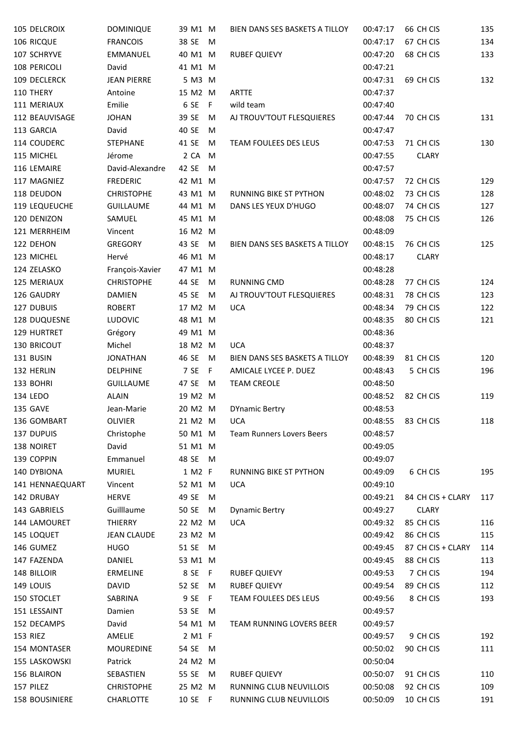| 105 DELCROIX         | <b>DOMINIQUE</b>          | 39 M1 M            |     | BIEN DANS SES BASKETS A TILLOY  | 00:47:17 | 66 CH CIS         | 135 |
|----------------------|---------------------------|--------------------|-----|---------------------------------|----------|-------------------|-----|
| 106 RICQUE           | <b>FRANCOIS</b>           | 38 SE              | M   |                                 | 00:47:17 | 67 CH CIS         | 134 |
| 107 SCHRYVE          | EMMANUEL                  | 40 M1 M            |     | <b>RUBEF QUIEVY</b>             | 00:47:20 | 68 CH CIS         | 133 |
| 108 PERICOLI         | David                     | 41 M1 M            |     |                                 | 00:47:21 |                   |     |
| 109 DECLERCK         | <b>JEAN PIERRE</b>        | 5 M3 M             |     |                                 | 00:47:31 | 69 CH CIS         | 132 |
| 110 THERY            | Antoine                   | 15 M2 M            |     | <b>ARTTE</b>                    | 00:47:37 |                   |     |
| 111 MERIAUX          | Emilie                    | 6 SE F             |     | wild team                       | 00:47:40 |                   |     |
| 112 BEAUVISAGE       | <b>JOHAN</b>              | 39 SE              | M   | AJ TROUV'TOUT FLESQUIERES       | 00:47:44 | 70 CH CIS         | 131 |
| 113 GARCIA           | David                     | 40 SE              | M   |                                 | 00:47:47 |                   |     |
| 114 COUDERC          | <b>STEPHANE</b>           | 41 SE              | M   | TEAM FOULEES DES LEUS           | 00:47:53 | 71 CH CIS         | 130 |
| 115 MICHEL           | Jérome                    | 2 CA M             |     |                                 | 00:47:55 | <b>CLARY</b>      |     |
| 116 LEMAIRE          | David-Alexandre           | 42 SE              | M   |                                 | 00:47:57 |                   |     |
| 117 MAGNIEZ          | <b>FREDERIC</b>           | 42 M1 M            |     |                                 | 00:47:57 | 72 CH CIS         | 129 |
| 118 DEUDON           | <b>CHRISTOPHE</b>         | 43 M1 M            |     | RUNNING BIKE ST PYTHON          | 00:48:02 | 73 CH CIS         | 128 |
| <b>119 LEQUEUCHE</b> | <b>GUILLAUME</b>          | 44 M1 M            |     | DANS LES YEUX D'HUGO            | 00:48:07 | 74 CH CIS         | 127 |
| 120 DENIZON          | SAMUEL                    | 45 M1 M            |     |                                 | 00:48:08 | 75 CH CIS         | 126 |
| 121 MERRHEIM         | Vincent                   | 16 M2 M            |     |                                 | 00:48:09 |                   |     |
| 122 DEHON            | GREGORY                   | 43 SE M            |     | BIEN DANS SES BASKETS A TILLOY  | 00:48:15 | 76 CH CIS         | 125 |
| 123 MICHEL           | Hervé                     | 46 M1 M            |     |                                 | 00:48:17 | <b>CLARY</b>      |     |
| 124 ZELASKO          | François-Xavier           | 47 M1 M            |     |                                 | 00:48:28 |                   |     |
| 125 MERIAUX          | <b>CHRISTOPHE</b>         | 44 SE              | M   | RUNNING CMD                     | 00:48:28 | 77 CH CIS         | 124 |
| 126 GAUDRY           | <b>DAMIEN</b>             | 45 SE              | M   | AJ TROUV'TOUT FLESQUIERES       | 00:48:31 | 78 CH CIS         | 123 |
| 127 DUBUIS           | <b>ROBERT</b>             | 17 M2 M            |     | <b>UCA</b>                      | 00:48:34 | 79 CH CIS         | 122 |
| 128 DUQUESNE         | <b>LUDOVIC</b>            | 48 M1 M            |     |                                 | 00:48:35 | 80 CH CIS         | 121 |
| 129 HURTRET          | Grégory                   | 49 M1 M            |     |                                 | 00:48:36 |                   |     |
| 130 BRICOUT          | Michel                    | 18 M2 M            |     | <b>UCA</b>                      | 00:48:37 |                   |     |
| 131 BUSIN            | <b>JONATHAN</b>           | 46 SE              | M   | BIEN DANS SES BASKETS A TILLOY  | 00:48:39 | 81 CH CIS         | 120 |
| 132 HERLIN           | <b>DELPHINE</b>           | 7 SE               | - F | AMICALE LYCEE P. DUEZ           | 00:48:43 | 5 CH CIS          | 196 |
| 133 BOHRI            | <b>GUILLAUME</b>          | 47 SE              | M   | <b>TEAM CREOLE</b>              | 00:48:50 |                   |     |
|                      | <b>ALAIN</b>              | 19 M2 M            |     |                                 | 00:48:52 | 82 CH CIS         |     |
| 134 LEDO<br>135 GAVE | Jean-Marie                | 20 M2 M            |     |                                 | 00:48:53 |                   | 119 |
|                      |                           |                    |     | <b>DYnamic Bertry</b>           |          |                   |     |
| 136 GOMBART          | <b>OLIVIER</b>            | 21 M2 M<br>50 M1 M |     | <b>UCA</b>                      | 00:48:55 | 83 CH CIS         | 118 |
| <b>137 DUPUIS</b>    | Christophe                |                    |     | Team Runners Lovers Beers       | 00:48:57 |                   |     |
| 138 NOIRET           | David                     | 51 M1 M            |     |                                 | 00:49:05 |                   |     |
| 139 COPPIN           | Emmanuel<br><b>MURIEL</b> | 48 SE M            |     | <b>RUNNING BIKE ST PYTHON</b>   | 00:49:07 |                   |     |
| 140 DYBIONA          |                           | 1 M2 F             |     |                                 | 00:49:09 | 6 CH CIS          | 195 |
| 141 HENNAEQUART      | Vincent                   | 52 M1 M            |     | <b>UCA</b>                      | 00:49:10 |                   |     |
| 142 DRUBAY           | <b>HERVE</b>              | 49 SE              | M   |                                 | 00:49:21 | 84 CH CIS + CLARY | 117 |
| 143 GABRIELS         | Guilllaume                | 50 SE              | M   | <b>Dynamic Bertry</b>           | 00:49:27 | <b>CLARY</b>      |     |
| 144 LAMOURET         | <b>THIERRY</b>            | 22 M2 M            |     | <b>UCA</b>                      | 00:49:32 | 85 CH CIS         | 116 |
| 145 LOQUET           | <b>JEAN CLAUDE</b>        | 23 M2 M            |     |                                 | 00:49:42 | 86 CH CIS         | 115 |
| 146 GUMEZ            | <b>HUGO</b>               | 51 SE M            |     |                                 | 00:49:45 | 87 CH CIS + CLARY | 114 |
| 147 FAZENDA          | DANIEL                    | 53 M1 M            |     |                                 | 00:49:45 | 88 CH CIS         | 113 |
| 148 BILLOIR          | ERMELINE                  | 8 SE F             |     | <b>RUBEF QUIEVY</b>             | 00:49:53 | 7 CH CIS          | 194 |
| 149 LOUIS            | <b>DAVID</b>              | 52 SE              | M   | <b>RUBEF QUIEVY</b>             | 00:49:54 | 89 CH CIS         | 112 |
| 150 STOCLET          | SABRINA                   | 9 SE               | -F  | <b>TEAM FOULEES DES LEUS</b>    | 00:49:56 | 8 CH CIS          | 193 |
| 151 LESSAINT         | Damien                    | 53 SE              | M   |                                 | 00:49:57 |                   |     |
| 152 DECAMPS          | David                     | 54 M1 M            |     | <b>TEAM RUNNING LOVERS BEER</b> | 00:49:57 |                   |     |
| 153 RIEZ             | AMELIE                    | 2 M1 F             |     |                                 | 00:49:57 | 9 CH CIS          | 192 |
| 154 MONTASER         | <b>MOUREDINE</b>          | 54 SE              | M   |                                 | 00:50:02 | 90 CH CIS         | 111 |
| 155 LASKOWSKI        | Patrick                   | 24 M2 M            |     |                                 | 00:50:04 |                   |     |
| 156 BLAIRON          | SEBASTIEN                 | 55 SE              | M   | <b>RUBEF QUIEVY</b>             | 00:50:07 | 91 CH CIS         | 110 |
| 157 PILEZ            | <b>CHRISTOPHE</b>         | 25 M2 M            |     | RUNNING CLUB NEUVILLOIS         | 00:50:08 | 92 CH CIS         | 109 |
| 158 BOUSINIERE       | <b>CHARLOTTE</b>          | 10 SE F            |     | RUNNING CLUB NEUVILLOIS         | 00:50:09 | 10 CH CIS         | 191 |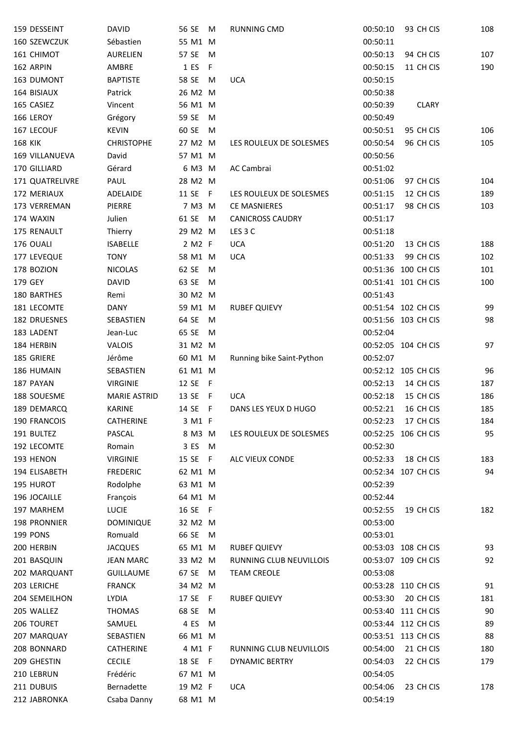| 159 DESSEINT               | <b>DAVID</b>        | 56 SE M            |     | <b>RUNNING CMD</b>        | 00:50:10 | 93 CH CIS           | 108       |
|----------------------------|---------------------|--------------------|-----|---------------------------|----------|---------------------|-----------|
| 160 SZEWCZUK               | Sébastien           | 55 M1 M            |     |                           | 00:50:11 |                     |           |
| 161 CHIMOT                 | <b>AURELIEN</b>     | 57 SE              | M   |                           | 00:50:13 | 94 CH CIS           | 107       |
| 162 ARPIN                  | AMBRE               | 1 ES               | - F |                           | 00:50:15 | 11 CH CIS           | 190       |
| 163 DUMONT                 | <b>BAPTISTE</b>     | 58 SE              | M   | <b>UCA</b>                | 00:50:15 |                     |           |
| 164 BISIAUX                | Patrick             | 26 M2 M            |     |                           | 00:50:38 |                     |           |
| 165 CASIEZ                 | Vincent             | 56 M1 M            |     |                           | 00:50:39 | <b>CLARY</b>        |           |
| 166 LEROY                  | Grégory             | 59 SE              | M   |                           | 00:50:49 |                     |           |
| 167 LECOUF                 | <b>KEVIN</b>        | 60 SE              | M   |                           | 00:50:51 | 95 CH CIS           | 106       |
| <b>168 KIK</b>             | <b>CHRISTOPHE</b>   | 27 M2 M            |     | LES ROULEUX DE SOLESMES   | 00:50:54 | 96 CH CIS           | 105       |
| 169 VILLANUEVA             | David               | 57 M1 M            |     |                           | 00:50:56 |                     |           |
| 170 GILLIARD               | Gérard              | 6 M3 M             |     | AC Cambrai                | 00:51:02 |                     |           |
| 171 QUATRELIVRE            | PAUL                | 28 M2 M            |     |                           | 00:51:06 | 97 CH CIS           | 104       |
| 172 MERIAUX                | ADELAIDE            | 11 SE F            |     | LES ROULEUX DE SOLESMES   | 00:51:15 | 12 CH CIS           | 189       |
| 173 VERREMAN               | PIERRE              | 7 M3 M             |     | <b>CE MASNIERES</b>       | 00:51:17 | 98 CH CIS           | 103       |
| 174 WAXIN                  | Julien              | 61 SE M            |     | <b>CANICROSS CAUDRY</b>   | 00:51:17 |                     |           |
| 175 RENAULT                | Thierry             | 29 M2 M            |     | LES <sub>3</sub> C        | 00:51:18 |                     |           |
| 176 OUALI                  | <b>ISABELLE</b>     | 2 M2 F             |     | <b>UCA</b>                | 00:51:20 | 13 CH CIS           | 188       |
| 177 LEVEQUE                | <b>TONY</b>         | 58 M1 M            |     | <b>UCA</b>                | 00:51:33 | 99 CH CIS           | 102       |
| 178 BOZION                 | <b>NICOLAS</b>      | 62 SE              | M   |                           |          | 00:51:36 100 CH CIS | 101       |
| 179 GEY                    | <b>DAVID</b>        | 63 SE              | M   |                           |          | 00:51:41 101 CH CIS | 100       |
| 180 BARTHES                | Remi                | 30 M2 M            |     |                           | 00:51:43 |                     |           |
| 181 LECOMTE                | DANY                | 59 M1 M            |     | <b>RUBEF QUIEVY</b>       |          | 00:51:54 102 CH CIS | 99        |
| 182 DRUESNES               | SEBASTIEN           | 64 SE              | M   |                           |          | 00:51:56 103 CH CIS | 98        |
| 183 LADENT                 | Jean-Luc            | 65 SE              | M   |                           | 00:52:04 |                     |           |
| 184 HERBIN                 | VALOIS              | 31 M2 M            |     |                           |          | 00:52:05 104 CH CIS | 97        |
| 185 GRIERE                 | Jérôme              | 60 M1 M            |     | Running bike Saint-Python | 00:52:07 |                     |           |
| 186 HUMAIN                 | SEBASTIEN           | 61 M1 M            |     |                           |          | 00:52:12 105 CH CIS | 96        |
| 187 PAYAN                  | <b>VIRGINIE</b>     | 12 SE F            |     |                           | 00:52:13 | 14 CH CIS           | 187       |
| 188 SOUESME                | <b>MARIE ASTRID</b> |                    |     | <b>UCA</b>                | 00:52:18 | 15 CH CIS           | 186       |
| 189 DEMARCQ                | <b>KARINE</b>       | 13 SE F<br>14 SE F |     | DANS LES YEUX D HUGO      | 00:52:21 | 16 CH CIS           | 185       |
|                            |                     |                    |     |                           |          | 17 CH CIS           |           |
| 190 FRANCOIS<br>191 BULTEZ | CATHERINE<br>PASCAL | 3 M1 F<br>8 M3 M   |     |                           | 00:52:23 | 00:52:25 106 CH CIS | 184<br>95 |
|                            |                     |                    |     | LES ROULEUX DE SOLESMES   |          |                     |           |
| 192 LECOMTE                | Romain              | 3 ES               | M   |                           | 00:52:30 |                     |           |
| 193 HENON<br>194 ELISABETH | <b>VIRGINIE</b>     | 15 SE F            |     | ALC VIEUX CONDE           | 00:52:33 | 18 CH CIS           | 183       |
|                            | <b>FREDERIC</b>     | 62 M1 M            |     |                           |          | 00:52:34 107 CH CIS | 94        |
| 195 HUROT                  | Rodolphe            | 63 M1 M            |     |                           | 00:52:39 |                     |           |
| 196 JOCAILLE               | François            | 64 M1 M            |     |                           | 00:52:44 |                     |           |
| 197 MARHEM                 | <b>LUCIE</b>        | 16 SE F            |     |                           | 00:52:55 | 19 CH CIS           | 182       |
| 198 PRONNIER               | <b>DOMINIQUE</b>    | 32 M2 M            |     |                           | 00:53:00 |                     |           |
| 199 PONS                   | Romuald             | 66 SE M            |     |                           | 00:53:01 |                     |           |
| 200 HERBIN                 | <b>JACQUES</b>      | 65 M1 M            |     | <b>RUBEF QUIEVY</b>       |          | 00:53:03 108 CH CIS | 93        |
| 201 BASQUIN                | <b>JEAN MARC</b>    | 33 M2 M            |     | RUNNING CLUB NEUVILLOIS   |          | 00:53:07 109 CH CIS | 92        |
| 202 MARQUANT               | <b>GUILLAUME</b>    | 67 SE M            |     | <b>TEAM CREOLE</b>        | 00:53:08 |                     |           |
| 203 LERICHE                | <b>FRANCK</b>       | 34 M2 M            |     |                           |          | 00:53:28 110 CH CIS | 91        |
| 204 SEMEILHON              | LYDIA               | 17 SE F            |     | RUBEF QUIEVY              | 00:53:30 | 20 CH CIS           | 181       |
| 205 WALLEZ                 | <b>THOMAS</b>       | 68 SE              | M   |                           |          | 00:53:40 111 CH CIS | 90        |
| 206 TOURET                 | SAMUEL              | 4 ES               | M   |                           |          | 00:53:44 112 CH CIS | 89        |
| 207 MARQUAY                | SEBASTIEN           | 66 M1 M            |     |                           |          | 00:53:51 113 CH CIS | 88        |
| 208 BONNARD                | CATHERINE           | 4 M1 F             |     | RUNNING CLUB NEUVILLOIS   | 00:54:00 | 21 CH CIS           | 180       |
| 209 GHESTIN                | <b>CECILE</b>       | 18 SE F            |     | <b>DYNAMIC BERTRY</b>     | 00:54:03 | 22 CH CIS           | 179       |
| 210 LEBRUN                 | Frédéric            | 67 M1 M            |     |                           | 00:54:05 |                     |           |
| 211 DUBUIS                 | Bernadette          | 19 M2 F            |     | <b>UCA</b>                | 00:54:06 | 23 CH CIS           | 178       |
| 212 JABRONKA               | Csaba Danny         | 68 M1 M            |     |                           | 00:54:19 |                     |           |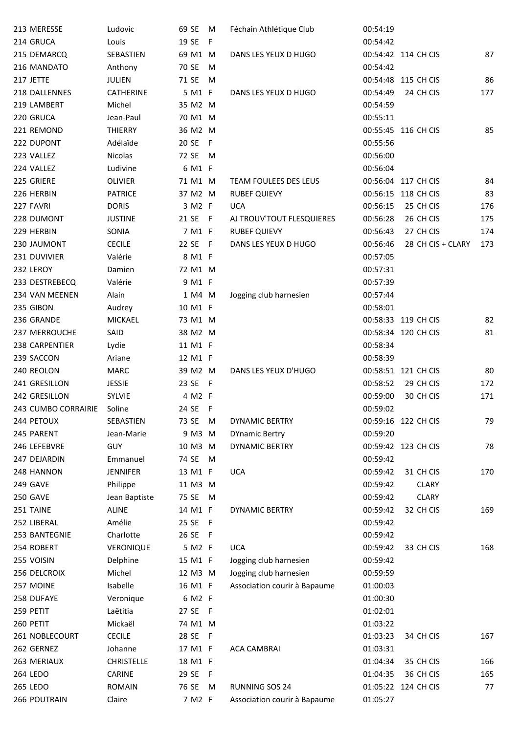| 213 MERESSE         | Ludovic           | 69 SE   | M   | Féchain Athlétique Club      | 00:54:19 |                     |     |
|---------------------|-------------------|---------|-----|------------------------------|----------|---------------------|-----|
| 214 GRUCA           | Louis             | 19 SE   | - F |                              | 00:54:42 |                     |     |
| 215 DEMARCQ         | SEBASTIEN         | 69 M1 M |     | DANS LES YEUX D HUGO         |          | 00:54:42 114 CH CIS | 87  |
| 216 MANDATO         | Anthony           | 70 SE   | M   |                              | 00:54:42 |                     |     |
| 217 JETTE           | <b>JULIEN</b>     | 71 SE   | M   |                              |          | 00:54:48 115 CH CIS | 86  |
| 218 DALLENNES       | <b>CATHERINE</b>  | 5 M1 F  |     | DANS LES YEUX D HUGO         | 00:54:49 | 24 CH CIS           | 177 |
| 219 LAMBERT         | Michel            | 35 M2 M |     |                              | 00:54:59 |                     |     |
| 220 GRUCA           | Jean-Paul         | 70 M1 M |     |                              | 00:55:11 |                     |     |
| 221 REMOND          | THIERRY           | 36 M2 M |     |                              |          | 00:55:45 116 CH CIS | 85  |
| 222 DUPONT          | Adélaïde          | 20 SE F |     |                              | 00:55:56 |                     |     |
| 223 VALLEZ          | Nicolas           | 72 SE   | M   |                              | 00:56:00 |                     |     |
| 224 VALLEZ          | Ludivine          | 6 M1 F  |     |                              | 00:56:04 |                     |     |
| 225 GRIERE          | <b>OLIVIER</b>    | 71 M1 M |     | <b>TEAM FOULEES DES LEUS</b> |          | 00:56:04 117 CH CIS | 84  |
| 226 HERBIN          | <b>PATRICE</b>    | 37 M2 M |     | <b>RUBEF QUIEVY</b>          |          | 00:56:15 118 CH CIS | 83  |
| 227 FAVRI           | <b>DORIS</b>      | 3 M2 F  |     | <b>UCA</b>                   | 00:56:15 | 25 CH CIS           | 176 |
| 228 DUMONT          | <b>JUSTINE</b>    | 21 SE F |     | AJ TROUV'TOUT FLESQUIERES    | 00:56:28 | 26 CH CIS           | 175 |
| 229 HERBIN          | SONIA             | 7 M1 F  |     | <b>RUBEF QUIEVY</b>          | 00:56:43 | 27 CH CIS           | 174 |
| 230 JAUMONT         | <b>CECILE</b>     | 22 SE F |     | DANS LES YEUX D HUGO         | 00:56:46 | 28 CH CIS + CLARY   | 173 |
| 231 DUVIVIER        | Valérie           | 8 M1 F  |     |                              | 00:57:05 |                     |     |
| 232 LEROY           | Damien            | 72 M1 M |     |                              | 00:57:31 |                     |     |
| 233 DESTREBECQ      | Valérie           | 9 M1 F  |     |                              | 00:57:39 |                     |     |
| 234 VAN MEENEN      | Alain             | 1 M4 M  |     | Jogging club harnesien       | 00:57:44 |                     |     |
| 235 GIBON           | Audrey            | 10 M1 F |     |                              | 00:58:01 |                     |     |
|                     | <b>MICKAEL</b>    | 73 M1 M |     |                              |          |                     | 82  |
| 236 GRANDE          |                   |         |     |                              |          | 00:58:33 119 CH CIS |     |
| 237 MERROUCHE       | SAID              | 38 M2 M |     |                              |          | 00:58:34 120 CH CIS | 81  |
| 238 CARPENTIER      | Lydie             | 11 M1 F |     |                              | 00:58:34 |                     |     |
| 239 SACCON          | Ariane            | 12 M1 F |     |                              | 00:58:39 |                     |     |
| 240 REOLON          | <b>MARC</b>       | 39 M2 M |     | DANS LES YEUX D'HUGO         |          | 00:58:51 121 CH CIS | 80  |
| 241 GRESILLON       | <b>JESSIE</b>     | 23 SE F |     |                              | 00:58:52 | 29 CH CIS           | 172 |
| 242 GRESILLON       | <b>SYLVIE</b>     | 4 M2 F  |     |                              | 00:59:00 | 30 CH CIS           | 171 |
| 243 CUMBO CORRAIRIE | Soline            | 24 SE F |     |                              | 00:59:02 |                     |     |
| 244 PETOUX          | SEBASTIEN         | 73 SE   | M   | <b>DYNAMIC BERTRY</b>        |          | 00:59:16 122 CH CIS | 79  |
| 245 PARENT          | Jean-Marie        | 9 M3 M  |     | <b>DYnamic Bertry</b>        | 00:59:20 |                     |     |
| 246 LEFEBVRE        | <b>GUY</b>        | 10 M3 M |     | <b>DYNAMIC BERTRY</b>        |          | 00:59:42 123 CH CIS | 78  |
| 247 DEJARDIN        | Emmanuel          | 74 SE   | M   |                              | 00:59:42 |                     |     |
| 248 HANNON          | <b>JENNIFER</b>   | 13 M1 F |     | <b>UCA</b>                   | 00:59:42 | 31 CH CIS           | 170 |
| 249 GAVE            | Philippe          | 11 M3 M |     |                              | 00:59:42 | <b>CLARY</b>        |     |
| 250 GAVE            | Jean Baptiste     | 75 SE M |     |                              | 00:59:42 | <b>CLARY</b>        |     |
| 251 TAINE           | <b>ALINE</b>      | 14 M1 F |     | <b>DYNAMIC BERTRY</b>        | 00:59:42 | 32 CH CIS           | 169 |
| 252 LIBERAL         | Amélie            | 25 SE F |     |                              | 00:59:42 |                     |     |
| 253 BANTEGNIE       | Charlotte         | 26 SE F |     |                              | 00:59:42 |                     |     |
| 254 ROBERT          | VERONIQUE         | 5 M2 F  |     | <b>UCA</b>                   | 00:59:42 | 33 CH CIS           | 168 |
| 255 VOISIN          | Delphine          | 15 M1 F |     | Jogging club harnesien       | 00:59:42 |                     |     |
| 256 DELCROIX        | Michel            | 12 M3 M |     | Jogging club harnesien       | 00:59:59 |                     |     |
| 257 MOINE           | Isabelle          | 16 M1 F |     | Association courir à Bapaume | 01:00:03 |                     |     |
| 258 DUFAYE          | Veronique         | 6 M2 F  |     |                              | 01:00:30 |                     |     |
| 259 PETIT           | Laëtitia          | 27 SE F |     |                              | 01:02:01 |                     |     |
| 260 PETIT           | Mickaël           | 74 M1 M |     |                              | 01:03:22 |                     |     |
| 261 NOBLECOURT      | <b>CECILE</b>     | 28 SE F |     |                              | 01:03:23 | 34 CH CIS           | 167 |
| 262 GERNEZ          | Johanne           | 17 M1 F |     | <b>ACA CAMBRAI</b>           | 01:03:31 |                     |     |
| 263 MERIAUX         | <b>CHRISTELLE</b> | 18 M1 F |     |                              | 01:04:34 | 35 CH CIS           | 166 |
| 264 LEDO            | CARINE            | 29 SE F |     |                              | 01:04:35 | 36 CH CIS           | 165 |
| <b>265 LEDO</b>     | <b>ROMAIN</b>     | 76 SE   | M   | RUNNING SOS 24               |          | 01:05:22 124 CH CIS | 77  |
| 266 POUTRAIN        | Claire            | 7 M2 F  |     | Association courir à Bapaume | 01:05:27 |                     |     |